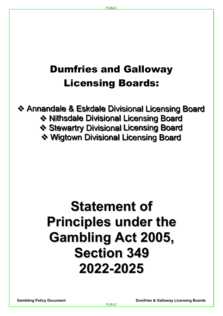## Dumfries and Galloway Licensing Boards:

**Annandale & Eskdale Divisional Licensing Board Nithsdale Divisional Licensing Board** Stewartry Divisional Licensing Board Wigtown Divisional Licensing Board

# **Statement of Principles under the Gambling Act 2005, Section 349 2022-2025**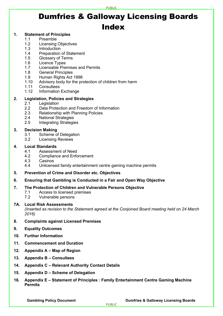#### **PURLIC**

## Dumfries & Galloway Licensing Boards Index

#### **1. Statement of Principles**

- 1.1 Preamble
- 1.2 Licensing Objectives
- 1.3 Introduction
- 1.4 Preparation of Statement
- 1.5 Glossary of Terms
- 1.6 Licence Types
- 1.7 Licensable Premises and Permits
- 1.8 General Principles
- 1.9 Human Rights Act 1998
- 1.10 Advisory body for the protection of children from harm
- 1.11 Consultees
- 1.12 Information Exchange

#### **2. Legislation, Policies and Strategies**

- 2.1 Legislation
- 2.2 Data Protection and Freedom of Information
- 2.3 Relationship with Planning Policies<br>2.4 National Strategies
- **National Strategies**
- 2.5 Integrating Strategies

#### **3. Decision Making**

- 3.1 Scheme of Delegation
- 3.2 Licensing Reviews

### **4. Local Standards**

- 4.1 Assessment of Need
- 4.2 Compliance and Enforcement
- 4.3 Casinos
- 4.4 Unlicensed family entertainment centre gaming machine permits
- **5. Prevention of Crime and Disorder etc. Objectives**
- **6. Ensuring that Gambling is Conducted in a Fair and Open Way Objective**

#### **7. The Protection of Children and Vulnerable Persons Objective**

- 7.1 Access to licensed premises
- 7.2 Vulnerable persons

#### **7A. Local Risk Assessments**

*(Inserted as revision to the Statement agreed at the Conjoined Board meeting held on 24 March 2016)* 

#### **8. Complaints against Licensed Premises**

- **9. Equality Outcomes**
- **10. Further Information**
- **11. Commencement and Duration**
- **12. Appendix A – Map of Region**
- **13. Appendix B – Consultees**
- **14. Appendix C – Relevant Authority Contact Details**
- **15. Appendix D – Scheme of Delegation**
- **16. Appendix E – Statement of Principles : Family Entertainment Centre Gaming Machine Permits**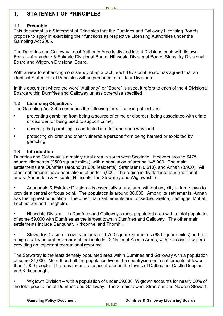#### **1. STATEMENT OF PRINCIPLES**

#### **1.1 Preamble**

This document is a Statement of Principles that the Dumfries and Galloway Licensing Boards propose to apply in exercising their functions as respective Licensing Authorities under the Gambling Act 2005.

The Dumfries and Galloway Local Authority Area is divided into 4 Divisions each with its own Board – Annandale & Eskdale Divisional Board, Nithsdale Divisional Board, Stewartry Divisional Board and Wigtown Divisional Board.

With a view to enhancing consistency of approach, each Divisional Board has agreed that an identical Statement of Principles will be produced for all four Divisions.

In this document where the word "Authority" or "Board" is used, it refers to each of the 4 Divisional Boards within Dumfries and Galloway unless otherwise specified.

#### **1.2 Licensing Objectives**

The Gambling Act 2005 enshrines the following three licensing objectives:

- preventing gambling from being a source of crime or disorder, being associated with crime or disorder, or being used to support crime;
- ensuring that gambling is conducted in a fair and open way; and
- protecting children and other vulnerable persons from being harmed or exploited by gambling.

#### **1.3 Introduction**

Dumfries and Galloway is a mainly rural area in south west Scotland. It covers around 6475 square kilometres (2500 square miles), with a population of around 148,000. The main settlements are Dumfries (around 31,600 residents), Stranraer (10,510), and Annan (8,920). All other settlements have populations of under 5,000. The region is divided into four traditional areas: Annandale & Eskdale, Nithsdale, the Stewartry and Wigtownshire.

 Annandale & Eskdale Division – is essentially a rural area without any city or large town to provide a central or focus point. The population is around 38,000. Among its settlements, Annan has the highest population. The other main settlements are Lockerbie, Gretna, Eastriggs, Moffat, Lochmaben and Langholm.

 Nithsdale Division – is Dumfries and Galloway's most populated area with a total population of some 59,000 with Dumfries as the largest town in Dumfries and Galloway. The other main settlements include Sanquhar, Kirkconnel and Thornhill.

 Stewartry Division – covers an area of 1,760 square kilometres (680 square miles) and has a high quality natural environment that includes 2 National Scenic Areas, with the coastal waters providing an important recreational resource.

The Stewartry is the least densely populated area within Dumfries and Galloway with a population of some 24,000. More than half the population live in the countryside or in settlements of fewer than 1,000 people. The remainder are concentrated in the towns of Dalbeattie, Castle Douglas and Kirkcudbright.

 Wigtown Division – with a population of under 29,000, Wigtown accounts for nearly 20% of the total population of Dumfries and Galloway. The 2 main towns, Stranraer and Newton Stewart,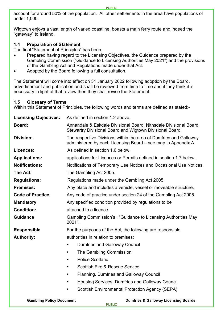account for around 50% of the population. All other settlements in the area have populations of under 1,000.

Wigtown enjoys a vast length of varied coastline, boasts a main ferry route and indeed the "gateway" to Ireland.

#### **1.4 Preparation of Statement**

The final "Statement of Principles" has been:-

- Prepared having regard to the Licensing Objectives, the Guidance prepared by the Gambling Commission ("Guidance to Licensing Authorities May 2021") and the provisions of the Gambling Act and Regulations made under that Act.
- Adopted by the Board following a full consultation.

The Statement will come into effect on 31 January 2022 following adoption by the Board, advertisement and publication and shall be reviewed from time to time and if they think it is necessary in light of that review then they shall revise the Statement.

#### **1.5 Glossary of Terms**

Within this Statement of Principles, the following words and terms are defined as stated:-

| <b>Licensing Objectives:</b>    | As defined in section 1.2 above.                                                                                                   |  |  |
|---------------------------------|------------------------------------------------------------------------------------------------------------------------------------|--|--|
| <b>Board:</b>                   | Annandale & Eskdale Divisional Board, Nithsdale Divisional Board,<br>Stewartry Divisional Board and Wigtown Divisional Board.      |  |  |
| <b>Division:</b>                | The respective Divisions within the area of Dumfries and Galloway<br>administered by each Licensing Board – see map in Appendix A. |  |  |
| Licences:                       | As defined in section 1.6 below.                                                                                                   |  |  |
| <b>Applications:</b>            | applications for Licences or Permits defined in section 1.7 below.                                                                 |  |  |
| <b>Notifications:</b>           | Notifications of Temporary Use Notices and Occasional Use Notices.                                                                 |  |  |
| The Act:                        | The Gambling Act 2005.                                                                                                             |  |  |
| <b>Regulations:</b>             | Regulations made under the Gambling Act 2005.                                                                                      |  |  |
| <b>Premises:</b>                | Any place and includes a vehicle, vessel or moveable structure.                                                                    |  |  |
| <b>Code of Practice:</b>        | Any code of practice under section 24 of the Gambling Act 2005.                                                                    |  |  |
| <b>Mandatory</b>                | Any specified condition provided by regulations to be                                                                              |  |  |
| <b>Condition:</b>               | attached to a licence.                                                                                                             |  |  |
| <b>Guidance</b>                 | Gambling Commission's: "Guidance to Licensing Authorities May<br>2021".                                                            |  |  |
| <b>Responsible</b>              | For the purposes of the Act, the following are responsible                                                                         |  |  |
| <b>Authority:</b>               | authorities in relation to premises:                                                                                               |  |  |
|                                 | <b>Dumfries and Galloway Council</b>                                                                                               |  |  |
|                                 | The Gambling Commission<br>$\bullet$                                                                                               |  |  |
|                                 | <b>Police Scotland</b><br>$\bullet$                                                                                                |  |  |
|                                 | <b>Scottish Fire &amp; Rescue Service</b><br>$\bullet$                                                                             |  |  |
|                                 | <b>Planning, Dumfries and Galloway Council</b><br>$\bullet$                                                                        |  |  |
|                                 | Housing Services, Dumfries and Galloway Council                                                                                    |  |  |
|                                 | <b>Scottish Environmental Protection Agency (SEPA)</b><br>$\bullet$                                                                |  |  |
| <b>Gambling Policy Document</b> | <b>Dumfries &amp; Galloway Licensing Boards</b>                                                                                    |  |  |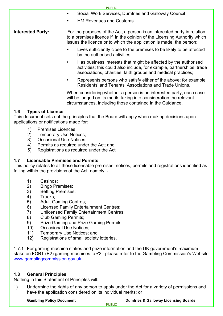PUBLIC Social Work Services, Dumfries and Galloway Council HM Revenues and Customs. **Interested Party:** For the purposes of the Act, a person is an interested party in relation to a premises licence if, in the opinion of the Licensing Authority which issues the licence or to which the application is made, the person: Lives sufficiently close to the premises to be likely to be affected by the authorised activities; Has business interests that might be affected by the authorised activities; this could also include, for example, partnerships, trade associations, charities, faith groups and medical practices; Represents persons who satisfy either of the above; for example Residents' and Tenants' Associations and Trade Unions.

> When considering whether a person is an interested party, each case will be judged on its merits taking into consideration the relevant circumstances, including those contained in the Guidance.

#### **1.6 Types of Licence**

This document sets out the principles that the Board will apply when making decisions upon applications or notifications made for:

- 1) Premises Licences;<br>2) Temporary Use Not
- Temporary Use Notices;
- 3) Occasional Use Notices;
- 4) Permits as required under the Act; and
- 5) Registrations as required under the Act

#### **1.7 Licensable Premises and Permits**

This policy relates to all those licensable premises, notices, permits and registrations identified as falling within the provisions of the Act, namely: -

- 1) Casinos;
- 2) Bingo Premises;<br>3) Betting Premises
- Betting Premises;
- 4) Tracks;
- 5) Adult Gaming Centres;
- 6) Licensed Family Entertainment Centres;
- 7) Unlicensed Family Entertainment Centres;
- 8) Club Gaming Permits;
- 9) Prize Gaming and Prize Gaming Permits;
- 10) Occasional Use Notices;
- 11) Temporary Use Notices; and
- 12) Registrations of small society lotteries.

1.7.1 For gaming machine stakes and prize information and the UK government's maximum stake on FOBT (B2) gaming machines to £2, please refer to the Gambling Commission's Website [www.gamblingcommission.gov.uk](http://www.gamblingcommission.gov.uk/) .

#### **1.8 General Principles**

Nothing in this Statement of Principles will:

1) Undermine the rights of any person to apply under the Act for a variety of permissions and have the application considered on its individual merits; or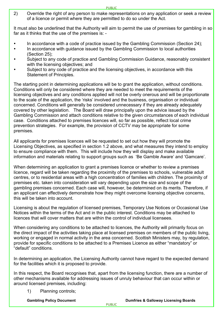2) Override the right of any person to make representations on any application or seek a review of a licence or permit where they are permitted to do so under the Act.

It must also be underlined that the Authority will aim to permit the use of premises for gambling in so far as it thinks that the use of the premises is: -

- In accordance with a code of practice issued by the Gambling Commission (Section 24);
- In accordance with guidance issued by the Gambling Commission to local authorities (Section 25);
- Subject to any code of practice and Gambling Commission Guidance, reasonably consistent with the licensing objectives; and
- Subject to any code of practice and the licensing objectives, in accordance with this Statement of Principles.

The starting point in determining applications will be to grant the application, without conditions. Conditions will only be considered where they are needed to meet the requirements of the licensing objectives and any conditions applied will not be overly onerous and will be proportionate to the scale of the application, the 'risks' involved and the business, organisation or individual concerned. Conditions will generally be considered unnecessary if they are already adequately covered by other legislation. The Board will draw principally upon the advice issued by the Gambling Commission and attach conditions relative to the given circumstances of each individual case. Conditions attached to premises licences will, so far as possible, reflect local crime prevention strategies. For example, the provision of CCTV may be appropriate for some premises.

All applicants for premises licences will be requested to set out how they will promote the Licensing Objectives, as specified in section 1.2 above, and what measures they intend to employ to ensure compliance with them. This will include how they will display and make available information and materials relating to support groups such as 'Be Gamble Aware' and 'Gamcare'.

When determining an application to grant a premises licence or whether to review a premises licence, regard will be taken regarding the proximity of the premises to schools, vulnerable adult centres, or to residential areas with a high concentration of families with children. The proximity of premises etc. taken into consideration will vary depending upon the size and scope of the gambling premises concerned. Each case will, however, be determined on its merits. Therefore, if an applicant can effectively demonstrate how they might overcome licensing objective concerns, this will be taken into account.

Licensing is about the regulation of licensed premises, Temporary Use Notices or Occasional Use Notices within the terms of the Act and in the public interest. Conditions may be attached to licences that will cover matters that are within the control of individual licensees.

When considering any conditions to be attached to licences, the Authority will primarily focus on the direct impact of the activities taking place at licensed premises on members of the public living, working or engaged in normal activity in the area concerned. Scottish Ministers may, by regulation, provide for specific conditions to be attached to a Premises Licence as either "mandatory" or "default" conditions.

In determining an application, the Licensing Authority cannot have regard to the expected demand for the facilities which it is proposed to provide.

In this respect, the Board recognises that, apart from the licensing function, there are a number of other mechanisms available for addressing issues of unruly behaviour that can occur within or around licensed premises, including:

1) Planning controls;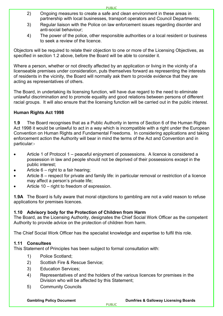- 2) Ongoing measures to create a safe and clean environment in these areas in partnership with local businesses, transport operators and Council Departments;
- 3) Regular liaison with the Police on law enforcement issues regarding disorder and anti-social behaviour;
- 4) The power of the police, other responsible authorities or a local resident or business to seek a review of the licence.

Objectors will be required to relate their objection to one or more of the Licensing Objectives, as specified in section 1.2 above, before the Board will be able to consider it.

Where a person, whether or not directly affected by an application or living in the vicinity of a licenseable premises under consideration, puts themselves forward as representing the interests of residents in the vicinity, the Board will normally ask them to provide evidence that they are acting as representatives of others.

The Board, in undertaking its licensing function, will have due regard to the need to eliminate unlawful discrimination and to promote equality and good relations between persons of different racial groups. It will also ensure that the licensing function will be carried out in the public interest.

#### **Human Rights Act 1998**

**1.9** The Board recognises that as a Public Authority in terms of Section 6 of the Human Rights Act 1998 it would be unlawful to act in a way which is incompatible with a right under the European Convention on Human Rights and Fundamental Freedoms. In considering applications and taking enforcement action the Authority will bear in mind the terms of the Act and Convention and in particular:-

- Article 1 of Protocol 1 peaceful enjoyment of possessions. A licence is considered a possession in law and people should not be deprived of their possessions except in the public interest;
- Article  $6 -$  right to a fair hearing;
- Article 8 respect for private and family life: in particular removal or restriction of a licence may affect a person's private life;
- Article 10 right to freedom of expression.

**1.9A** The Board is fully aware that moral objections to gambling are not a valid reason to refuse applications for premises licences.

#### **1.10 Advisory body for the Protection of Children from Harm**

The Board, as the Licensing Authority, designates the Chief Social Work Officer as the competent Authority to provide advice on the protection of children from harm.

The Chief Social Work Officer has the specialist knowledge and expertise to fulfil this role.

#### **1.11 Consultees**

This Statement of Principles has been subject to formal consultation with:

- 1) Police Scotland;
- 2) Scottish Fire & Rescue Service;
- 3) Education Services;
- 4) Representatives of and the holders of the various licences for premises in the Division who will be affected by this Statement;
- 5) Community Councils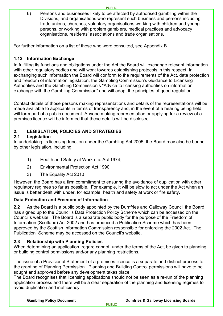6) Persons and businesses likely to be affected by authorised gambling within the Divisions, and organisations who represent such business and persons including trade unions, churches, voluntary organisations working with children and young persons, or working with problem gamblers, medical practices and advocacy organisations, residents' associations and trade organisations.

**PURLIC** 

For further information on a list of those who were consulted, see Appendix B

#### **1.12 Information Exchange**

In fulfilling its functions and obligations under the Act the Board will exchange relevant information with other regulatory bodies and will work towards establishing protocols in this respect. In exchanging such information the Board will conform to the requirements of the Act, data protection and freedom of information legislation, the Gambling Commission's Guidance to Licensing Authorities and the Gambling Commission's "Advice to licensing authorities on information exchange with the Gambling Commission" and will adopt the principles of good regulation.

Contact details of those persons making representations and details of the representations will be made available to applicants in terms of transparency and, in the event of a hearing being held, will form part of a public document. Anyone making representation or applying for a review of a premises licence will be informed that these details will be disclosed.

### **2. LEGISLATION, POLICIES AND STRATEGIES**

#### **2.1 Legislation**

In undertaking its licensing function under the Gambling Act 2005, the Board may also be bound by other legislation, including:

- 1) Health and Safety at Work etc. Act 1974;
- 2) Environmental Protection Act 1990;
- 3) The Equality Act 2010

However, the Board has a firm commitment to ensuring the avoidance of duplication with other regulatory regimes so far as possible. For example, it will be slow to act under the Act when an issue is better dealt with under, for example, health and safety at work or fire safety.

#### **Data Protection and Freedom of Information**

**2.2** As the Board is a public body appointed by the Dumfries and Galloway Council the Board has signed up to the Council's Data Protection Policy Scheme which can be accessed on the Council's website. The Board is a separate public body for the purpose of the Freedom of Information (Scotland) Act 2002 and has produced a Publication Scheme which has been approved by the Scottish Information Commission responsible for enforcing the 2002 Act. The Publication Scheme may be accessed on the Council's website.

#### **2.3 Relationship with Planning Policies**

When determining an application, regard cannot, under the terms of the Act, be given to planning or building control permissions and/or any planning restrictions.

The issue of a Provisional Statement of a premises licence is a separate and distinct process to the granting of Planning Permission. Planning and Building Control permissions will have to be sought and approved before any development takes place.

The Board recognises that licensing applications should not be seen as a re-run of the planning application process and there will be a clear separation of the planning and licensing regimes to avoid duplication and inefficiency.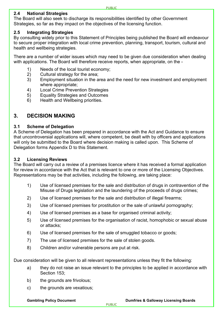#### **2.4 National Strategies**

The Board will also seek to discharge its responsibilities identified by other Government Strategies, so far as they impact on the objectives of the licensing function.

#### **2.5 Integrating Strategies**

By consulting widely prior to this Statement of Principles being published the Board will endeavour to secure proper integration with local crime prevention, planning, transport, tourism, cultural and health and wellbeing strategies.

There are a number of wider issues which may need to be given due consideration when dealing with applications. The Board will therefore receive reports, when appropriate, on the -

- 1) Needs of the local tourist economy;
- 2) Cultural strategy for the area;
- 3) Employment situation in the area and the need for new investment and employment where appropriate;
- 4) Local Crime Prevention Strategies
- 5) Equality Strategies and Outcomes
- 6) Health and Wellbeing priorities.

#### **3. DECISION MAKING**

#### **3.1 Scheme of Delegation**

A Scheme of Delegation has been prepared in accordance with the Act and Guidance to ensure that uncontroversial applications will, where competent, be dealt with by officers and applications will only be submitted to the Board where decision making is called upon. This Scheme of Delegation forms Appendix D to this Statement.

#### **3.2 Licensing Reviews**

The Board will carry out a review of a premises licence where it has received a formal application for review in accordance with the Act that is relevant to one or more of the Licensing Objectives. Representations may be that activities, including the following, are taking place:

- 1) Use of licensed premises for the sale and distribution of drugs in contravention of the Misuse of Drugs legislation and the laundering of the proceeds of drugs crimes;
- 2) Use of licensed premises for the sale and distribution of illegal firearms;
- 3) Use of licensed premises for prostitution or the sale of unlawful pornography;
- 4) Use of licensed premises as a base for organised criminal activity;
- 5) Use of licensed premises for the organisation of racist, homophobic or sexual abuse or attacks;
- 6) Use of licensed premises for the sale of smuggled tobacco or goods;
- 7) The use of licensed premises for the sale of stolen goods.
- 8) Children and/or vulnerable persons are put at risk.

Due consideration will be given to all relevant representations unless they fit the following:

- a) they do not raise an issue relevant to the principles to be applied in accordance with Section 153;
- b) the grounds are frivolous;
- c) the grounds are vexatious;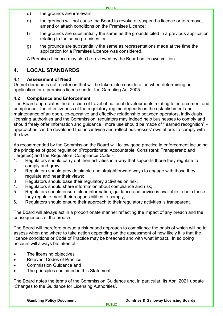- d) the grounds are irrelevant;
- e) the grounds will not cause the Board to revoke or suspend a licence or to remove, amend or attach conditions on the Premises Licence;
- f) the grounds are substantially the same as the grounds cited in a previous application relating to the same premises; or
- g) the grounds are substantially the same as representations made at the time the application for a Premises Licence was considered.

A Premises Licence may also be reviewed by the Board on its own volition.

### **4. LOCAL STANDARDS**

#### **4.1 Assessment of Need**

Unmet demand is not a criterion that will be taken into consideration when determining an application for a premises licence under the Gambling Act 2005.

#### **4.2 Compliance and Enforcement**

The Board appreciates the direction of travel of national developments relating to enforcement and compliance : the effectiveness of the regulatory regime depends on the establishment and maintenance of an open, co-operative and effective relationship between operators, individuals, licensing authorities and the Commission; regulators may indeed help businesses to comply and should freely offer information and guidance : more use should be made of "earned recognition" – approaches can be developed that incentivise and reflect businesses' own efforts to comply with the law.

As recommended by the Commission the Board will follow good practice in enforcement including the principles of good regulation (Proportionate; Accountable; Consistent; Transparent; and Targeted) and the Regulators' Compliance Code:-

- 1. Regulators should carry out their activities in a way that supports those they regulate to comply and grow;
- 2. Regulators should provide simple and straightforward ways to engage with those they regulate and hear their views;
- 3 Regulators should base their regulatory activities on risk;
- 4. Regulators should share information about compliance and risk;
- 5. Regulators should ensure clear information, guidance and advice is available to help those they regulate meet their responsibilities to comply;
- 6. Regulators should ensure their approach to their regulatory activities is transparent.

The Board will always act in a proportionate manner reflecting the impact of any breach and the consequences of the breach.

The Board will therefore pursue a risk based approach to compliance the basis of which will be to assess when and where to take action depending on the assessment of how likely it is that the licence conditions or Code of Practice may be breached and with what impact. In so doing account will always be taken of:-

- The licensing objectives
- Relevant Codes of Practice
- Commission Guidance and
- The principles contained in this Statement.

The Board notes the terms of the Commission Guidance and, in particular, its April 2021 update 'Changes to the Guidance for Licensing Authorities'.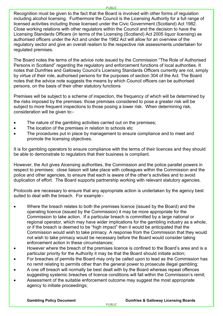Recognition must be given to the fact that the Board is involved with other forms of regulation including alcohol licensing. Furthermore the Council is the Licensing Authority for a full range of licensed activities including those licensed under the Civic Government (Scotland) Act 1982. Close working relations with other regulators within the Council and the decision to have the Licensing Standards Officers (in terms of the Licensing (Scotland) Act 2005 liquor licensing) as authorised officers under the Act and under the 1982 Act will allow for an overview of the regulatory sector and give an overall realism to the respective risk assessments undertaken for regulated premises.

The Board notes the terms of the advice note issued by the Commission "The Role of Authorised Persons in Scotland" regarding the regulatory and enforcement functions of local authorities. It notes that Dumfries and Galloway Council's Licensing Standards Officers currently are not, simply by virtue of their role, authorised persons for the purposes of section 304 of the Act. The Board notes that the advice note suggests the means by which Council officers can be authorised persons, on the basis of their other statutory functions

Premises will be subject to a scheme of inspection, the frequency of which will be determined by the risks imposed by the premises: those premises considered to pose a greater risk will be subject to more frequent inspections to those posing a lower risk. When determining risk, consideration will be given to:-

- The nature of the gambling activities carried out on the premises;
- The location of the premises in relation to schools etc.
- The procedures put in place by management to ensure compliance and to meet and promote the licensing objectives.

It is for gambling operators to ensure compliance with the terms of their licences and they should be able to demonstrate to regulators that their business is compliant.

However, the Act gives Aicensing authorities, the Commission and the police parallel powers in respect to premises: close liaison will take place with colleagues within the Commission and the police and other agencies, to ensure that each is aware of the other's activities and to avoid duplication of effort. The Board supports partnership working with relevant statutory agencies.

Protocols are necessary to ensure that any appropriate action is undertaken by the agency best suited to deal with the breach. For example:-

- Where the breach relates to both the premises licence (issued by the Board) and the operating licence (issued by the Commission) it may be more appropriate for the Commission to take action. If a particular breach is committed by a large national or regional operator, which may have wider implications for the gambling industry as a whole, or if the breach is deemed to be "high impact" then it would be anticipated that the Commission would wish to take primacy. A response from the Commission that they would not wish to take primacy would be necessary before the Board would consider taking enforcement action in these circumstances;
- However where the breach of the premises licence is confined to the Board's area and is a particular priority for the Authority it may be that the Board should initiate action;
- For breaches of permits the Board may only be called upon to lead as the Commission has no remit relating to permits other than the general power to prosecute illegal gambling;
- A one off breach will normally be best dealt with by the Board whereas repeat offences suggesting systemic breaches of licence conditions will fall within the Commission's remit;
- Assessment of the suitable enforcement outcome may suggest the most appropriate agency to initiate proceedings;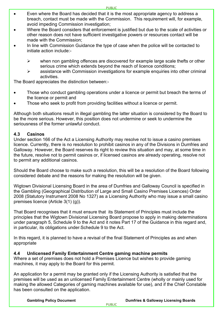- Even where the Board has decided that it is the most appropriate agency to address a breach, contact must be made with the Commission. This requirement will, for example, avoid impeding Commission investigation;
- Where the Board considers that enforcement is justified but due to the scale of activities or other reason does not have sufficient investigative powers or resources contact will be made with the Commission;
- In line with Commission Guidance the type of case when the police will be contacted to initiate action include:-
	- $\triangleright$  when non gambling offences are discovered for example large scale thefts or other serious crime which extends beyond the reach of licence conditions;
	- $\triangleright$  assistance with Commission investigations for example enquiries into other criminal activities.

The Board appreciates the distinction between:-

- Those who conduct gambling operations under a licence or permit but breach the terms of the licence or permit and
- Those who seek to profit from providing facilities without a licence or permit.

Although both situations result in illegal gambling the latter situation is considered by the Board to be the more serious. However, this position does not undermine or seek to undermine the seriousness of the former unlawful conduct.

#### **4.3 Casinos**

Under section 166 of the Act a Licensing Authority may resolve not to issue a casino premises licence. Currently, there is no resolution to prohibit casinos in any of the Divisions in Dumfries and Galloway. However, the Board reserves its right to review this situation and may, at some time in the future, resolve not to permit casinos or, if licensed casinos are already operating, resolve not to permit any additional casinos.

Should the Board choose to make such a resolution, this will be a resolution of the Board following considered debate and the reasons for making the resolution will be given.

Wigtown Divisional Licensing Board in the area of Dumfries and Galloway Council is specified in the Gambling (Geographical Distribution of Large and Small Casino Premises Licences) Order 2008 (Statutory Instrument 2008 No 1327) as a Licensing Authority who may issue a small casino premises licence (Article 3(1) (g)).

That Board recognises that it must ensure that its Statement of Principles must include the principles that the Wigtown Divisional Licensing Board propose to apply in making determinations under paragraph 5, Schedule 9 to the Act and it notes Part 17 of the Guidance in this regard and, in particular, its obligations under Schedule 9 to the Act.

In this regard, it is planned to have a revisal of the final Statement of Principles as and when appropriate

#### **4.4 Unlicensed Family Entertainment Centre gaming machine permits**

Where a set of premises does not hold a Premises Licence but wishes to provide gaming machines, it may apply to the Board for this permit.

An application for a permit may be granted only if the Licensing Authority is satisfied that the premises will be used as an unlicensed Family Entertainment Centre (wholly or mainly used for making the allowed Categories of gaming machines available for use), and if the Chief Constable has been consulted on the application.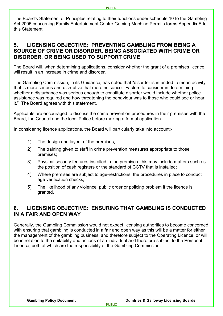The Board's Statement of Principles relating to their functions under schedule 10 to the Gambling Act 2005 concerning Family Entertainment Centre Gaming Machine Permits forms Appendix E to this Statement.

#### **5. LICENSING OBJECTIVE: PREVENTING GAMBLING FROM BEING A SOURCE OF CRIME OR DISORDER, BEING ASSOCIATED WITH CRIME OR DISORDER, OR BEING USED TO SUPPORT CRIME**

The Board will, when determining applications, consider whether the grant of a premises licence will result in an increase in crime and disorder.

The Gambling Commission, in its Guidance, has noted that "disorder is intended to mean activity that is more serious and disruptive that mere nuisance. Factors to consider in determining whether a disturbance was serious enough to constitute disorder would include whether police assistance was required and how threatening the behaviour was to those who could see or hear it." The Board agrees with this statement**.**

Applicants are encouraged to discuss the crime prevention procedures in their premises with the Board, the Council and the local Police before making a formal application.

In considering licence applications, the Board will particularly take into account:-

- 1) The design and layout of the premises;
- 2) The training given to staff in crime prevention measures appropriate to those premises;
- 3) Physical security features installed in the premises: this may include matters such as the position of cash registers or the standard of CCTV that is installed;
- 4) Where premises are subject to age-restrictions, the procedures in place to conduct age verification checks;
- 5) The likelihood of any violence, public order or policing problem if the licence is granted.

#### **6. LICENSING OBJECTIVE: ENSURING THAT GAMBLING IS CONDUCTED IN A FAIR AND OPEN WAY**

Generally, the Gambling Commission would not expect licensing authorities to become concerned with ensuring that gambling is conducted in a fair and open way as this will be a matter for either the management of the gambling business, and therefore subject to the Operating Licence, or will be in relation to the suitability and actions of an individual and therefore subject to the Personal Licence, both of which are the responsibility of the Gambling Commission.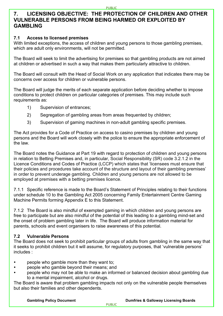#### **7. LICENSING OBJECTIVE: THE PROTECTION OF CHILDREN AND OTHER VULNERABLE PERSONS FROM BEING HARMED OR EXPLOITED BY GAMBLING**

#### **7.1 Access to licensed premises**

With limited exceptions, the access of children and young persons to those gambling premises, which are adult only environments, will not be permitted.

The Board will seek to limit the advertising for premises so that gambling products are not aimed at children or advertised in such a way that makes them particularly attractive to children.

The Board will consult with the Head of Social Work on any application that indicates there may be concerns over access for children or vulnerable persons.

The Board will judge the merits of each separate application before deciding whether to impose conditions to protect children on particular categories of premises. This may include such requirements as:

- 1) Supervision of entrances;
- 2) Segregation of gambling areas from areas frequented by children;
- 3) Supervision of gaming machines in non-adult gambling specific premises.

The Act provides for a Code of Practice on access to casino premises by children and young persons and the Board will work closely with the police to ensure the appropriate enforcement of the law.

The Board notes the Guidance at Part 19 with regard to protection of children and young persons in relation to Betting Premises and, in particular, Social Responsibility (SR) code 3.2.1.2 in the [Licence Conditions and Codes of Practice](https://www.gamblingcommission.gov.uk/for-gambling-businesses/Compliance/LCCP/Licence-conditions-and-codes-of-practice-sector-extracts.aspx) (LCCP) which states that 'licensees must ensure that their policies and procedures take account of the structure and layout of their gambling premises' in order to prevent underage gambling. Children and young persons are not allowed to be employed at premises with a betting premises licence.

7.1.1 Specific reference is made to the Board's Statement of Principles relating to their functions under schedule 10 to the Gambling Act 2005 concerning Family Entertainment Centre Gaming Machine Permits forming Appendix E to this Statement.

7.1.2 The Board is also mindful of exempted gaming in which children and young persons are free to participate but are also mindful of the potential of this leading to a gambling mind-set and the onset of problem gambling later in life. The Board will produce information material for parents, schools and event organisers to raise awareness of this potential.

#### **7.2 Vulnerable Persons**

The Board does not seek to prohibit particular groups of adults from gambling in the same way that it seeks to prohibit children but it will assume, for regulatory purposes, that 'vulnerable persons' includes :

- people who gamble more than they want to;
- people who gamble beyond their means; and
- people who may not be able to make an informed or balanced decision about gambling due to a mental impairment, alcohol or drugs.

The Board is aware that problem gambling impacts not only on the vulnerable people themselves but also their families and other dependents.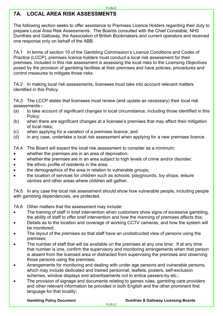### **7A. LOCAL AREA RISK ASSESSMENTS**

The following section seeks to offer assistance to Premises Licence Holders regarding their duty to prepare Local Area Risk Assessments. The Boards consulted with the Chief Constable, NHS Dumfries and Galloway, the Association of British Bookmakers and current operators and received one response only on behalf of the ABB.

7A.1 In terms of section 10 of the Gambling Commission's Licence Conditions and Codes of Practice (LCCP), premises licence holders must conduct a local risk assessment for their premises. Included in this risk assessment is assessing the local risks to the Licensing Objectives posed by the provision of gambling facilities at their premises and have policies, procedures and control measures to mitigate those risks.

7A.2 In making local risk assessments, licensees must take into account relevant matters identified in this Policy.

7A.3 The LCCP states that licensees must review (and update as necessary) their local risk assessments:**-**

- (a) to take account of significant changes in local circumstance, including those identified in this Policy;
- (b) when there are significant changes at a licensee's premises that may affect their mitigation of local risks;
- (c) when applying for a variation of a premises licence; and
- (d) in any case, undertake a local risk assessment when applying for a new premises licence.
- 7A.4 The Board will expect the local risk assessment to consider as a minimum:
- whether the premises are in an area of deprivation:
- whether the premises are in an area subject to high levels of crime and/or disorder;
- the ethnic profile of residents in the area;
- the demographics of the area in relation to vulnerable groups;
- the location of services for children such as schools, playgrounds, toy shops, leisure centres and other areas where children will gather.

7A.5 In any case the local risk assessment should show how vulnerable people, including people with gambling dependencies, are protected.

7A.6 Other matters that the assessment may include:

- The training of staff in brief intervention when customers show signs of excessive gambling. the ability of staff to offer brief intervention and how the manning of premises affects this;
- Details as to the location and coverage of working CCTV cameras, and how the system will be monitored;
- The layout of the premises so that staff have an unobstructed view of persons using the premises;
- The number of staff that will be available on the premises at any one time: If at any time that number is one, confirm the supervisory and monitoring arrangements when that person is absent from the licensed area or distracted from supervising the premises and observing those persons using the premises;
- Arrangements for monitoring and dealing with under age persons and vulnerable persons, which may include dedicated and trained personnel, leaflets, posters, self-exclusion schemes, window displays and advertisements not to entice passers-by etc.;
- The provision of signage and documents relating to games rules, gambling care providers and other relevant information be provided in both English and the other prominent first language for that locality;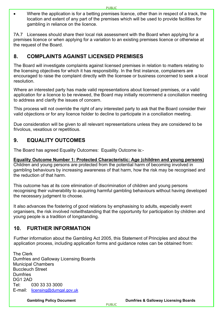• Where the application is for a betting premises licence, other than in respect of a track, the location and extent of any part of the premises which will be used to provide facilities for gambling in reliance on the licence.

7A.7 Licensees should share their local risk assessment with the Board when applying for a premises licence or when applying for a variation to an existing premises licence or otherwise at the request of the Board.

#### **8. COMPLAINTS AGAINST LICENSED PREMISES**

The Board will investigate complaints against licensed premises in relation to matters relating to the licensing objectives for which it has responsibility. In the first instance, complainers are encouraged to raise the complaint directly with the licensee or business concerned to seek a local resolution.

Where an interested party has made valid representations about licensed premises, or a valid application for a licence to be reviewed, the Board may initially recommend a conciliation meeting to address and clarify the issues of concern.

This process will not override the right of any interested party to ask that the Board consider their valid objections or for any licence holder to decline to participate in a conciliation meeting.

Due consideration will be given to all relevant representations unless they are considered to be frivolous, vexatious or repetitious.

#### **9. EQUALITY OUTCOMES**

The Board has agreed Equality Outcomes: Equality Outcome is:-

#### **Equality Outcome Number 1: Protected Characteristic: Age (children and young persons)**

Children and young persons are protected from the potential harm of becoming involved in gambling behaviours by increasing awareness of that harm, how the risk may be recognised and the reduction of that harm.

This outcome has at its core elimination of discrimination of children and young persons recognising their vulnerability to acquiring harmful gambling behaviours without having developed the necessary judgment to choose.

It also advances the fostering of good relations by emphasising to adults, especially event organisers, the risk involved notwithstanding that the opportunity for participation by children and young people is a tradition of longstanding.

#### **10. FURTHER INFORMATION**

Further information about the Gambling Act 2005, this Statement of Principles and about the application process, including application forms and guidance notes can be obtained from:

The Clerk Dumfries and Galloway Licensing Boards Municipal Chambers Buccleuch Street Dumfries DG1 2AD Tel: 030 33 33 3000 E-mail: [licensing@dumgal.gov.uk](mailto:licensing@dumgal.gov.uk)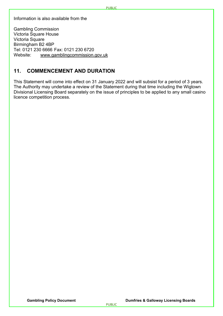Information is also available from the

Gambling Commission Victoria Square House Victoria Square Birmingham B2 4BP Tel: 0121 230 6666 Fax: 0121 230 6720 Website: [www.gamblingcommission.gov.uk](http://www.gamblingcommission.gov.uk/)

#### **11. COMMENCEMENT AND DURATION**

This Statement will come into effect on 31 January 2022 and will subsist for a period of 3 years. The Authority may undertake a review of the Statement during that time including the Wigtown Divisional Licensing Board separately on the issue of principles to be applied to any small casino licence competition process.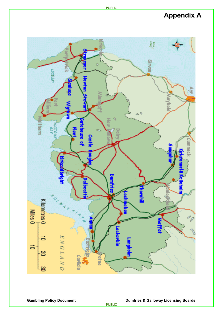### **Appendix A**



PUBLIC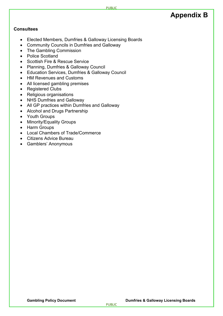### **Appendix B**

#### **Consultees**

- Elected Members, Dumfries & Galloway Licensing Boards
- Community Councils in Dumfries and Galloway
- The Gambling Commission
- Police Scotland
- Scottish Fire & Rescue Service
- Planning, Dumfries & Galloway Council
- Education Services, Dumfries & Galloway Council
- HM Revenues and Customs
- All licensed gambling premises
- Registered Clubs
- Religious organisations
- NHS Dumfries and Galloway
- All GP practices within Dumfries and Galloway
- Alcohol and Drugs Partnership
- Youth Groups
- Minority/Equality Groups
- Harm Groups
- Local Chambers of Trade/Commerce
- Citizens Advice Bureau
- Gamblers' Anonymous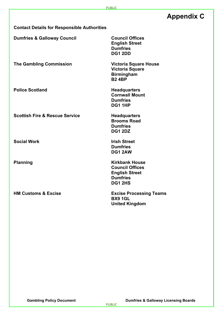### **Appendix C**

**Contact Details for Responsible Authorities**

**Dumfries & Galloway Council <b>Council Council Offices** 

**The Gambling Commission Victoria Square House**

**Police Scotland Headquarters** 

**Scottish Fire & Rescue Service Meadquarters** 

**Social Work Irish Street**

**Dumfries DG1 1HP**

**Cornwall Mount**

**English Street Dumfries DG1 2DD**

**Victoria Square Birmingham B2 4BP**

**Brooms Road Dumfries DG1 2DZ**

**Dumfries DG1 2AW**

**Planning Community Community Community Community Community Community Community Community Community Community Community Community Community Community Community Community Community Community Community Community Community Co Council Offices English Street Dumfries DG1 2HS**

**HM Customs & Excise Excise Processing Teams BX9 1GL United Kingdom**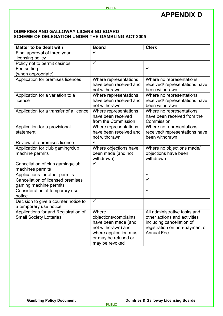### **APPENDIX D**

#### **DUMFRIES AND GALLOWAY LICENSING BOARD SCHEME OF DELEGATION UNDER THE GAMBLING ACT 2005**

| <b>Matter to be dealt with</b>                       | <b>Board</b>                     | <b>Clerk</b>                                    |
|------------------------------------------------------|----------------------------------|-------------------------------------------------|
| Final approval of three year                         | $\checkmark$                     |                                                 |
| licensing policy                                     |                                  |                                                 |
| Policy not to permit casinos                         | $\overline{\checkmark}$          |                                                 |
| Fee setting                                          |                                  | $\checkmark$                                    |
| (when appropriate)                                   |                                  |                                                 |
| Application for premises licences                    | Where representations            | Where no representations                        |
|                                                      | have been received and           | received/ representations have                  |
|                                                      | not withdrawn                    | been withdrawn                                  |
| Application for a variation to a                     | Where representations            | Where no representations                        |
| licence                                              | have been received and           | received/ representations have                  |
|                                                      | not withdrawn                    | been withdrawn                                  |
| Application for a transfer of a licence              | Where representations            | Where no representations                        |
|                                                      | have been received               | have been received from the                     |
|                                                      | from the Commission              | Commission                                      |
| Application for a provisional                        | Where representations            | Where no representations                        |
| statement                                            | have been received and           | received/representations have<br>been withdrawn |
|                                                      | not withdrawn<br>$\checkmark$    |                                                 |
| Review of a premises licence                         |                                  |                                                 |
| Application for club gaming/club                     | Where objections have            | Where no objections made/                       |
| machine permits                                      | been made (and not<br>withdrawn) | objections have been<br>withdrawn               |
|                                                      | ✓                                |                                                 |
| Cancellation of club gaming/club<br>machines permits |                                  |                                                 |
| Applications for other permits                       |                                  | $\checkmark$                                    |
| Cancellation of licensed premises                    |                                  | $\checkmark$                                    |
| gaming machine permits                               |                                  |                                                 |
| Consideration of temporary use                       |                                  | $\checkmark$                                    |
| notice                                               |                                  |                                                 |
| Decision to give a counter notice to                 | $\checkmark$                     |                                                 |
| a temporary use notice                               |                                  |                                                 |
| Applications for and Registration of                 | Where                            | All administrative tasks and                    |
| <b>Small Society Lotteries</b>                       | objections/complaints            | other actions and activities                    |
|                                                      | have been made (and              | including cancellation of                       |
|                                                      | not withdrawn) and               | registration on non-payment of                  |
|                                                      | where application must           | <b>Annual Fee</b>                               |
|                                                      | or may be refused or             |                                                 |
|                                                      | may be revoked                   |                                                 |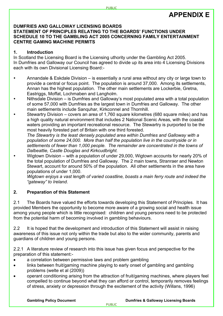### **APPENDIX E**

#### **DUMFRIES AND GALLOWAY LICENSING BOARDS**

#### **STATEMENT OF PRINCIPLES RELATING TO THE BOARDS' FUNCTIONS UNDER SCHEDULE 10 TO THE GAMBLING ACT 2005 CONCERNING FAMILY ENTERTAINMENT CENTRE GAMING MACHINE PERMITS**

#### **1. Introduction**

In Scotland the Licensing Board is the Licensing uthority under the Gambling Act 2005. In Dumfries and Galloway our Council has agreed to divide up its area into 4 Licensing Divisions each with its own Divisional Licensing Board:-

- Annandale & Eskdale Division is essentially a rural area without any city or large town to provide a central or focus point. The population is around 37,000. Among its settlements, Annan has the highest population. The other main settlements are Lockerbie, Gretna, Eastriggs, Moffat, Lochmaben and Langholm.
- Nithsdale Division is Dumfries and Galloway's most populated area with a total population of some 57,000 with Dumfries as the largest town in Dumfries and Galloway. The other main settlements include Sanquhar, Kirkconnel and Thornhill.
- Stewartry Division covers an area of 1,760 square kilometres (680 square miles) and has a high quality natural environment that includes 2 National Scenic Areas, with the coastal waters providing an important recreational resource. The Stewartry is purported to be the most heavily forested part of Britain with one third forested.

*The Stewartry is the least densely populated area within Dumfries and Galloway with a population of some 24,000. More than half the population live in the countryside or in settlements of fewer than 1,000 people. The remainder are concentrated in the towns of Dalbeattie, Castle Douglas and Kirkcudbright.*

 Wigtown Division – with a population of under 29,000, Wigtown accounts for nearly 20% of the total population of Dumfries and Galloway. The 2 main towns, Stranraer and Newton Stewart, account for around 50% of the population. All other settlements in the area have populations of under 1,000.

*Wigtown enjoys a vast length of varied coastline, boasts a main ferry route and indeed the "gateway" to Ireland*.

#### **2. Preparation of this Statement**

2.1 The Boards have valued the efforts towards developing this Statement of Principles. It has provided Members the opportunity to become more aware of a growing social and health issue among young people which is little recognised: children and young persons need to be protected from the potential harm of becoming involved in gambling behaviours.

2.2 It is hoped that the development and introduction of this Statement will assist in raising awareness of this issue not only within the trade but also to the wider community, parents and guardians of children and young persons.

2.2.1 A literature review of research into this issue has given focus and perspective for the preparation of this statement:-

- a correlation between permissive laws and problem gambling
- links between fruit/gaming machine playing to early onset of gambling and gambling problems (welte et al (2009))
- operant conditioning arising from the attraction of fruit/gaming machines, where players feel compelled to continue beyond what they can afford or control, temporarily removes feelings of stress, anxiety or depression through the excitement of the activity (Willans, 1996)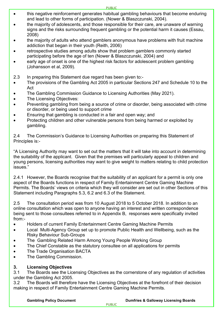- this negative reinforcement generates habitual gambling behaviours that become enduring and lead to other forms of participation. (Nower & Blaszczunski, 2004).
- the majority of adolescents, and those responsible for their care, are unaware of warning signs and the risks surrounding frequent gambling or the potential harm it causes (Essau, 2008)
- the majority of adults who attend gamblers anonymous have problems with fruit machine addiction that began in their youth (Reith, 2006)
- retrospective studies among adults show that problem gamblers commonly started participating before the age of ten (Nower & Blaszczunski, 2004) and
- early age of onset is one of the highest risk factors for adolescent problem gambling (Johansson et al, 2009).
- 2.3 In preparing this Statement due regard has been given to:-
- The provisions of the Gambling Act 2005 in particular Sections 247 and Schedule 10 to the Act
- The Gambling Commission Guidance to Licensing Authorities (May 2021).
- The Licensing Objectives:
- Preventing gambling from being a source of crime or disorder, being associated with crime or disorder, or being used to support crime
- Ensuring that gambling is conducted in a fair and open way; and
- Protecting children and other vulnerable persons from being harmed or exploited by gambling.

2.4 The Commission's Guidance to Licensing Authorities on preparing this Statement of Principles is:-

"A Licensing Authority may want to set out the matters that it will take into account in determining the suitability of the applicant. Given that the premises will particularly appeal to children and young persons, licensing authorities may want to give weight to matters relating to child protection issues."

2.4.1 However, the Boards recognise that the suitability of an applicant for a permit is only one aspect of the Boards functions in respect of Family Entertainment Centre Gaming Machine Permits. The Boards' views on criteria which they will consider are set out in other Sections of this Statement including Paragraphs 5.3, 6.2 and 6.3 of the Statement.

2.5 The consultation period was from 10 August 2018 to 5 October 2018. In addition to an online consultation which was open to anyone having an interest and written correspondence being sent to those consultees referred to in Appendix B, responses were specifically invited from:-

- Holders of current Family Entertainment Centre Gaming Machine Permits
- Local Multi-Agency Group set up to promote Public Health and Wellbeing, such as the Risky Behaviour Sub-Groups
- The Gambling Related Harm Among Young People Working Group
- The Chief Constable as the statutory consultee on all applications for permits
- The Trade Organisation BACTA
- The Gambling Commission.

#### **3. Licensing Objectives**

3.1 The Boards see the Licensing Objectives as the cornerstone of any regulation of activities under the Gambling Act 2005.

3.2 The Boards will therefore have the Licensing Objectives at the forefront of their decision making in respect of Family Entertainment Centre Gaming Machine Permits.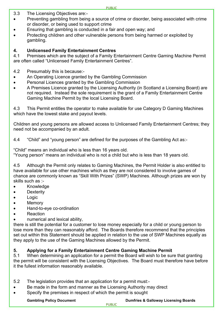- 3.3 The Licensing Objectives are:-
- Preventing gambling from being a source of crime or disorder, being associated with crime or disorder, or being used to support crime
- Ensuring that gambling is conducted in a fair and open way; and
- Protecting children and other vulnerable persons from being harmed or exploited by gambling.

#### **4. Unlicensed Family Entertainment Centres**

4.1 Premises which are the subject of a Family Entertainment Centre Gaming Machine Permit are often called "Unlicensed Family Entertainment Centres".

#### 4.2 Presumably this is because:-

- An Operating Licence granted by the Gambling Commission
- Personal Licences granted by the Gambling Commission
- A Premises Licence granted by the Licensing Authority (in Scotland a Licensing Board) are not required. Instead the sole requirement is the grant of a Family Entertainment Centre Gaming Machine Permit by the local Licensing Board.

4.3 This Permit entitles the operator to make available for use Category D Gaming Machines which have the lowest stake and payout levels.

Children and young persons are allowed access to Unlicensed Family Entertainment Centres; they need not be accompanied by an adult.

4.4 "Child" and "young person" are defined for the purposes of the Gambling Act as:-

"Child" means an individual who is less than 16 years old.

"Young person" means an individual who is not a child but who is less than 18 years old.

4.5 Although the Permit only relates to Gaming Machines, the Permit Holder is also entitled to have available for use other machines which as they are not considered to involve games of chance are commonly known as "Skill With Prizes" (SWP) Machines. Although prizes are won by skills such as :-

- Knowledge
- Dexterity
- Logic
- Memory
- Hand-to-eye co-ordination
- Reaction
- numerical and lexical ability,

there is still the potential for a customer to lose money especially for a child or young person to lose more than they can reasonably afford. The Boards therefore recommend that the principles set out within this Statement should be applied in relation to the use of SWP Machines equally as they apply to the use of the Gaming Machines allowed by the Permit.

#### **5. Applying for a Family Entertainment Centre Gaming Machine Permit**

5.1 When determining an application for a permit the Board will wish to be sure that granting the permit will be consistent with the Licensing Objectives. The Board must therefore have before it the fullest information reasonably available.

- 5.2 The legislation provides that an application for a permit must:-
- Be made in the form and manner as the Licensing Authority may direct
- Specify the premises in respect of which the permit is sought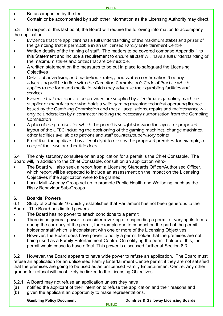- Be accompanied by the fee
- Contain or be accompanied by such other information as the Licensing Authority may direct.

5.3 In respect of this last point, the Board will require the following information to accompany the application:-

- Evidence that the applicant has a full understanding of the maximum stakes and prizes of the gambling that is permissible in an unlicensed Family Entertainment Centre
- Written details of the training of staff. The matters to be covered comprise Appendix 1 to this Statement and include a requirement to ensure all staff will have a full understanding of the maximum stakes and prizes that are permissible.
- A written statement on the measures to be put in place to safeguard the Licensing **Objectives**
- Details of advertising and marketing strategy and written confirmation that any advertising will be in line with the Gambling Commission's Code of Practice which applies to the form and media in which they advertise their gambling facilities and services.
- Evidence that machines to be provided are supplied by a legitimate gambling machine supplier or manufacturer who holds a valid gaming machine technical operating licence issued by the Gambling Commission and that all acquisitions, repairs and maintenance will only be undertaken by a contractor holding the necessary authorisation from the Gambling Commission
- A plan of the premises for which the permit is sought showing the layout or proposed layout of the UFEC including the positioning of the gaming machines, change machines, other facilities available to patrons and staff counters/supervisory points
- Proof that the applicant has a legal right to occupy the proposed premises, for example, a copy of the lease or other title deed.

5.4 The only statutory consultee on an application for a permit is the Chief Constable. The Board will, in addition to the Chief Constable, consult on an application with:-

- The Board will also seek a report from a Licensing Standards Officer/Authorised Officer, which report will be expected to include an assessment on the impact on the Licensing Objectives if the application were to be granted.
- Local Multi-Agency Group set up to promote Public Health and Wellbeing, such as the Risky Behaviour Sub-Groups

#### **6. Boards' Powers**

6.1 Study of Schedule 10 quickly establishes that Parliament has not been generous to the Board. The Board has limited powers:-

- The Board has no power to attach conditions to a permit
- There is no general power to consider revoking or suspending a permit or varying its terms during the currency of the permit, for example due to conduct on the part of the permit holder or staff which is inconsistent with one or more of the Licensing Objectives.
- However, the Board does have power to notify a permit holder that the premises are not being used as a Family Entertainment Centre. On notifying the permit holder of this, the permit would cease to have effect. This power is discussed further at Section 6.3.

6.2 However, the Board appears to have wide power to refuse an application. The Board must refuse an application for an unlicensed Family Entertainment Centre permit if they are not satisfied that the premises are going to be used as an unlicensed Family Entertainment Centre. Any other ground for refusal will most likely be linked to the Licensing Objectives.

- 6.2.1 A Board may not refuse an application unless they have
- (a) notified the applicant of their intention to refuse the application and their reasons and
- (b) given the applicant an opportunity to make representations.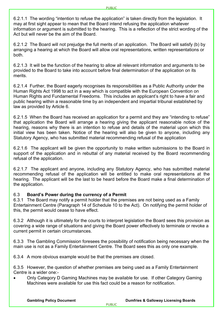6.2.1.1 The wording "intention to refuse the application" is taken directly from the legislation. It may at first sight appear to mean that the Board intend refusing the application whatever information or argument is submitted to the hearing. This is a reflection of the strict wording of the Act but will never be the aim of the Board.

6.2.1.2 The Board will not prejudge the full merits of an application. The Board will satisfy (b) by arranging a hearing at which the Board will allow oral representations, written representations or both.

6.2.1.3 It will be the function of the hearing to allow all relevant information and arguments to be provided to the Board to take into account before final determination of the application on its merits.

6.2.1.4 Further, the Board eagerly recognises its responsibilities as a Public Authority under the Human Rights Act 1998 to act in a way which is compatible with the European Convention on Human Rights and Fundamental Freedoms. This includes an applicant's right to have a fair and public hearing within a reasonable time by an independent and impartial tribunal established by law as provided by Article 6.

6.2.1.5 When the Board has received an application for a permit and they are "intending to refuse" that application the Board will arrange a hearing giving the applicant reasonable notice of the hearing, reasons why there is an intention to refuse and details of the material upon which this initial view has been taken. Notice of the hearing will also be given to anyone, including any Statutory Agency, who has submitted material recommending refusal of the application

6.2.1.6 The applicant will be given the opportunity to make written submissions to the Board in support of the application and in rebuttal of any material received by the Board recommending refusal of the application.

6.2.1.7 The applicant and anyone, including any Statutory Agency, who has submitted material recommending refusal of the application will be entitled to make oral representations at the hearing. The applicant will be the last to be heard before the Board make a final determination of the application.

#### 6.3 **Board's Power during the currency of a Permit**

6.3.1 The Board may notify a permit holder that the premises are not being used as a Family Entertainment Centre (Paragraph 14 of Schedule 10 to the Act). On notifying the permit holder of this, the permit would cease to have effect.

6.3.2 Although it is ultimately for the courts to interpret legislation the Board sees this provision as covering a wide range of situations and giving the Board power effectively to terminate or revoke a current permit in certain circumstances.

6.3.3 The Gambling Commission foresees the possibility of notification being necessary when the main use is not as a Family Entertainment Centre. The Board sees this as only one example.

6.3.4 A more obvious example would be that the premises are closed.

6.3.5 However, the question of whether premises are being used as a Family Entertainment Centre is a wider one:-

• Only Category D Gaming Machines may be available for use. If other Category Gaming Machines were available for use this fact could be a reason for notification.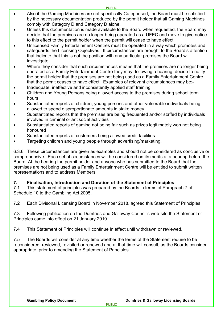- Also if the Gaming Machines are not specifically Categorised, the Board must be satisfied by the necessary documentation produced by the permit holder that all Gaming Machines comply with Category D and Category D alone.
- Unless this documentation is made available to the Board when requested, the Board may decide that the premises are no longer being operated as a UFEC and move to give notice to this effect to the permit holder when the permit will cease to have effect
- Unlicensed Family Entertainment Centres must be operated in a way which promotes and safeguards the Licensing Objectives. If circumstances are brought to the Board's attention that indicate that this is not the position with any particular premises the Board will investigate.
- Where they consider that such circumstances means that the premises are no longer being operated as a Family Entertainment Centre they may, following a hearing, decide to notify the permit holder that the premises are not being used as a Family Entertainment Centre that the permit ceases to have effect. Examples of relevant circumstances may be:-
- Inadequate, ineffective and inconsistently applied staff training
- Children and Young Persons being allowed access to the premises during school term hours
- Substantiated reports of children, young persons and other vulnerable individuals being allowed to spend disproportionate amounts in stake money
- Substantiated reports that the premises are being frequented and/or staffed by individuals involved in criminal or antisocial activities
- Substantiated reports of gaming not being fair such as prizes legitimately won not being honoured
- Substantiated reports of customers being allowed credit facilities
- Targeting children and young people through advertising/marketing.

6.3.6 These circumstances are given as examples and should not be considered as conclusive or comprehensive. Each set of circumstances will be considered on its merits at a hearing before the Board. At the hearing the permit holder and anyone who has submitted to the Board that the premises are not being used as a Family Entertainment Centre will be entitled to submit written representations and to address Members

#### **7. Finalisation, Introduction and Duration of the Statement of Principles**

7.1 This statement of principles was prepared by the Boards in terms of Paragraph 7 of Schedule 10 to the Gambling Act 2005.

7.2 Each Divisonal Licensing Board in November 2018, agreed this Statement of Principles.

7.3 Following publication on the Dumfries and Galloway Council's web-site the Statement of Principles came into effect on 21 January 2019.

7.4 This Statement of Principles will continue in effect until withdrawn or reviewed.

7.5 The Boards will consider at any time whether the terms of the Statement require to be reconsidered, reviewed, revisited or renewed and at that time will consult, as the Boards consider appropriate, prior to amending the Statement of Principles.